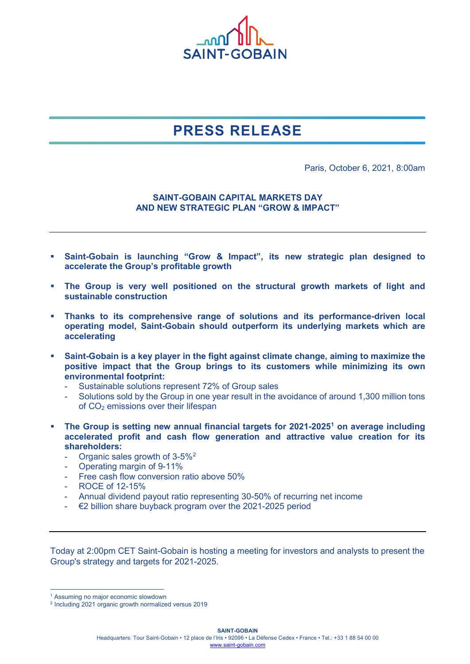

# **PRESS RELEASE**

Paris, October 6, 2021, 8:00am

# **SAINT-GOBAIN CAPITAL MARKETS DAY AND NEW STRATEGIC PLAN "GROW & IMPACT"**

- **Saint-Gobain is launching "Grow & Impact", its new strategic plan designed to accelerate the Group's profitable growth**
- **The Group is very well positioned on the structural growth markets of light and sustainable construction**
- **Thanks to its comprehensive range of solutions and its performance-driven local operating model, Saint-Gobain should outperform its underlying markets which are accelerating**
- **Saint-Gobain is a key player in the fight against climate change, aiming to maximize the positive impact that the Group brings to its customers while minimizing its own environmental footprint:**
	- Sustainable solutions represent 72% of Group sales
	- Solutions sold by the Group in one year result in the avoidance of around 1,300 million tons of CO<sub>2</sub> emissions over their lifespan
- **The Group is setting new annual financial targets for 2021-2025[1](#page-0-0) on average including accelerated profit and cash flow generation and attractive value creation for its shareholders:**
	- Organic sales growth of  $3-5\%^2$  $3-5\%^2$
	- Operating margin of 9-11%
	- Free cash flow conversion ratio above 50%
	- ROCE of 12-15%
	- Annual dividend payout ratio representing 30-50% of recurring net income
	- $\epsilon$ 2 billion share buyback program over the 2021-2025 period

Today at 2:00pm CET Saint-Gobain is hosting a meeting for investors and analysts to present the Group's strategy and targets for 2021-2025.

<sup>&</sup>lt;sup>1</sup> Assuming no major economic slowdown

<span id="page-0-1"></span><span id="page-0-0"></span><sup>&</sup>lt;sup>2</sup> Including 2021 organic growth normalized versus 2019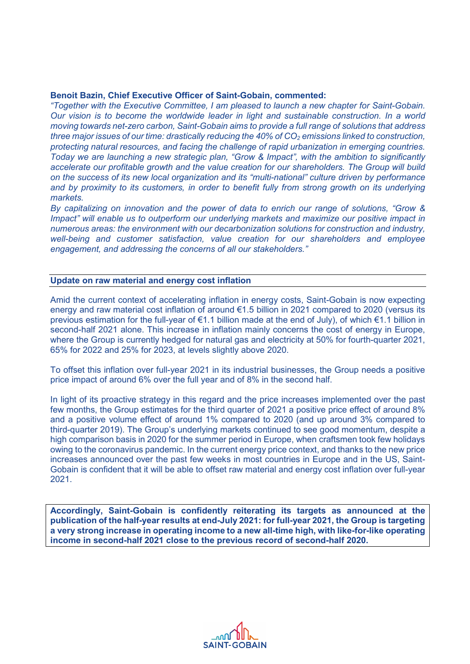# **Benoit Bazin, Chief Executive Officer of Saint-Gobain, commented:**

*"Together with the Executive Committee, I am pleased to launch a new chapter for Saint-Gobain. Our vision is to become the worldwide leader in light and sustainable construction. In a world moving towards net-zero carbon, Saint-Gobain aims to provide a full range of solutions that address three major issues of our time: drastically reducing the 40% of CO<sub>2</sub> emissions linked to construction, protecting natural resources, and facing the challenge of rapid urbanization in emerging countries. Today we are launching a new strategic plan, "Grow & Impact", with the ambition to significantly accelerate our profitable growth and the value creation for our shareholders. The Group will build on the success of its new local organization and its "multi-national" culture driven by performance and by proximity to its customers, in order to benefit fully from strong growth on its underlying markets.* 

*By capitalizing on innovation and the power of data to enrich our range of solutions, "Grow & Impact" will enable us to outperform our underlying markets and maximize our positive impact in numerous areas: the environment with our decarbonization solutions for construction and industry, well-being and customer satisfaction, value creation for our shareholders and employee engagement, and addressing the concerns of all our stakeholders."*

# **Update on raw material and energy cost inflation**

Amid the current context of accelerating inflation in energy costs, Saint-Gobain is now expecting energy and raw material cost inflation of around €1.5 billion in 2021 compared to 2020 (versus its previous estimation for the full-year of €1.1 billion made at the end of July), of which €1.1 billion in second-half 2021 alone. This increase in inflation mainly concerns the cost of energy in Europe, where the Group is currently hedged for natural gas and electricity at 50% for fourth-quarter 2021, 65% for 2022 and 25% for 2023, at levels slightly above 2020.

To offset this inflation over full-year 2021 in its industrial businesses, the Group needs a positive price impact of around 6% over the full year and of 8% in the second half.

In light of its proactive strategy in this regard and the price increases implemented over the past few months, the Group estimates for the third quarter of 2021 a positive price effect of around 8% and a positive volume effect of around 1% compared to 2020 (and up around 3% compared to third-quarter 2019). The Group's underlying markets continued to see good momentum, despite a high comparison basis in 2020 for the summer period in Europe, when craftsmen took few holidays owing to the coronavirus pandemic. In the current energy price context, and thanks to the new price increases announced over the past few weeks in most countries in Europe and in the US, Saint-Gobain is confident that it will be able to offset raw material and energy cost inflation over full-year 2021.

**Accordingly, Saint-Gobain is confidently reiterating its targets as announced at the publication of the half-year results at end-July 2021: for full-year 2021, the Group is targeting a very strong increase in operating income to a new all-time high, with like-for-like operating income in second-half 2021 close to the previous record of second-half 2020.**

ا∩مہ **SAINT-GOBAIN**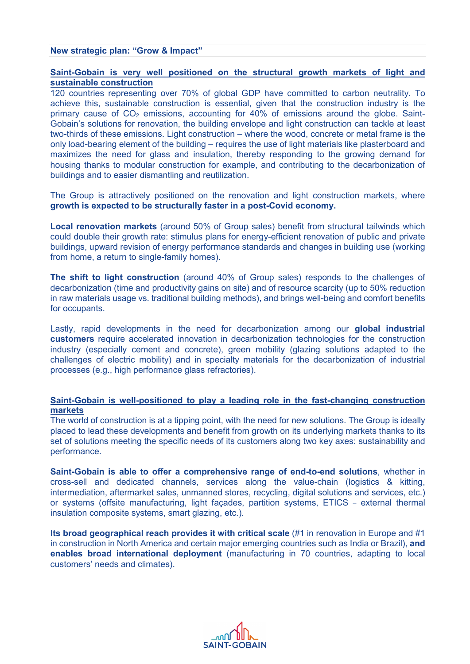# **New strategic plan: "Grow & Impact"**

# **Saint-Gobain is very well positioned on the structural growth markets of light and sustainable construction**

120 countries representing over 70% of global GDP have committed to carbon neutrality. To achieve this, sustainable construction is essential, given that the construction industry is the primary cause of  $CO<sub>2</sub>$  emissions, accounting for 40% of emissions around the globe. Saint-Gobain's solutions for renovation, the building envelope and light construction can tackle at least two-thirds of these emissions. Light construction – where the wood, concrete or metal frame is the only load-bearing element of the building – requires the use of light materials like plasterboard and maximizes the need for glass and insulation, thereby responding to the growing demand for housing thanks to modular construction for example, and contributing to the decarbonization of buildings and to easier dismantling and reutilization.

The Group is attractively positioned on the renovation and light construction markets, where **growth is expected to be structurally faster in a post-Covid economy.**

**Local renovation markets** (around 50% of Group sales) benefit from structural tailwinds which could double their growth rate: stimulus plans for energy-efficient renovation of public and private buildings, upward revision of energy performance standards and changes in building use (working from home, a return to single-family homes).

**The shift to light construction** (around 40% of Group sales) responds to the challenges of decarbonization (time and productivity gains on site) and of resource scarcity (up to 50% reduction in raw materials usage vs. traditional building methods), and brings well-being and comfort benefits for occupants.

Lastly, rapid developments in the need for decarbonization among our **global industrial customers** require accelerated innovation in decarbonization technologies for the construction industry (especially cement and concrete), green mobility (glazing solutions adapted to the challenges of electric mobility) and in specialty materials for the decarbonization of industrial processes (e.g., high performance glass refractories).

# **Saint-Gobain is well-positioned to play a leading role in the fast-changing construction markets**

The world of construction is at a tipping point, with the need for new solutions. The Group is ideally placed to lead these developments and benefit from growth on its underlying markets thanks to its set of solutions meeting the specific needs of its customers along two key axes: sustainability and performance.

**Saint-Gobain is able to offer a comprehensive range of end-to-end solutions**, whether in cross-sell and dedicated channels, services along the value-chain (logistics & kitting, intermediation, aftermarket sales, unmanned stores, recycling, digital solutions and services, etc.) or systems (offsite manufacturing, light façades, partition systems, ETICS **–** external thermal insulation composite systems, smart glazing, etc.).

**Its broad geographical reach provides it with critical scale** (#1 in renovation in Europe and #1 in construction in North America and certain major emerging countries such as India or Brazil), **and enables broad international deployment** (manufacturing in 70 countries, adapting to local customers' needs and climates).

ا∩مہ **SAINT-GOBAIN**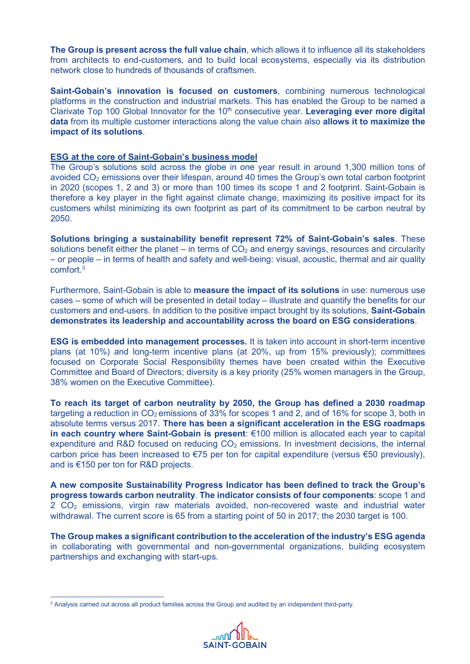**The Group is present across the full value chain**, which allows it to influence all its stakeholders from architects to end-customers, and to build local ecosystems, especially via its distribution network close to hundreds of thousands of craftsmen.

**Saint-Gobain's innovation is focused on customers**, combining numerous technological platforms in the construction and industrial markets. This has enabled the Group to be named a Clarivate Top 100 Global Innovator for the 10<sup>th</sup> consecutive year. Leveraging ever more digital **data** from its multiple customer interactions along the value chain also **allows it to maximize the impact of its solutions**.

# **ESG at the core of Saint-Gobain's business model**

The Group's solutions sold across the globe in one year result in around 1,300 million tons of avoided  $CO<sub>2</sub>$  emissions over their lifespan, around 40 times the Group's own total carbon footprint in 2020 (scopes 1, 2 and 3) or more than 100 times its scope 1 and 2 footprint. Saint-Gobain is therefore a key player in the fight against climate change, maximizing its positive impact for its customers whilst minimizing its own footprint as part of its commitment to be carbon neutral by 2050.

**Solutions bringing a sustainability benefit represent 72% of Saint-Gobain's sales**. These solutions benefit either the planet – in terms of  $CO<sub>2</sub>$  and energy savings, resources and circularity – or people – in terms of health and safety and well-being: visual, acoustic, thermal and air quality comfort.[3](#page-3-0)

Furthermore, Saint-Gobain is able to **measure the impact of its solutions** in use: numerous use cases – some of which will be presented in detail today – illustrate and quantify the benefits for our customers and end-users. In addition to the positive impact brought by its solutions, **Saint-Gobain demonstrates its leadership and accountability across the board on ESG considerations**.

**ESG is embedded into management processes.** It is taken into account in short-term incentive plans (at 10%) and long-term incentive plans (at 20%, up from 15% previously); committees focused on Corporate Social Responsibility themes have been created within the Executive Committee and Board of Directors; diversity is a key priority (25% women managers in the Group, 38% women on the Executive Committee).

**To reach its target of carbon neutrality by 2050, the Group has defined a 2030 roadmap** targeting a reduction in  $CO<sub>2</sub>$  emissions of 33% for scopes 1 and 2, and of 16% for scope 3, both in absolute terms versus 2017. **There has been a significant acceleration in the ESG roadmaps in each country where Saint-Gobain is present**: €100 million is allocated each year to capital expenditure and R&D focused on reducing  $CO<sub>2</sub>$  emissions. In investment decisions, the internal carbon price has been increased to €75 per ton for capital expenditure (versus €50 previously), and is €150 per ton for R&D projects.

**A new composite Sustainability Progress Indicator has been defined to track the Group's progress towards carbon neutrality**. **The indicator consists of four components**: scope 1 and  $2$  CO<sub>2</sub> emissions, virgin raw materials avoided, non-recovered waste and industrial water withdrawal. The current score is 65 from a starting point of 50 in 2017; the 2030 target is 100.

**The Group makes a significant contribution to the acceleration of the industry's ESG agenda** in collaborating with governmental and non-governmental organizations, building ecosystem partnerships and exchanging with start-ups.

<span id="page-3-0"></span><sup>&</sup>lt;sup>3</sup> Analysis carried out across all product families across the Group and audited by an independent third-party.

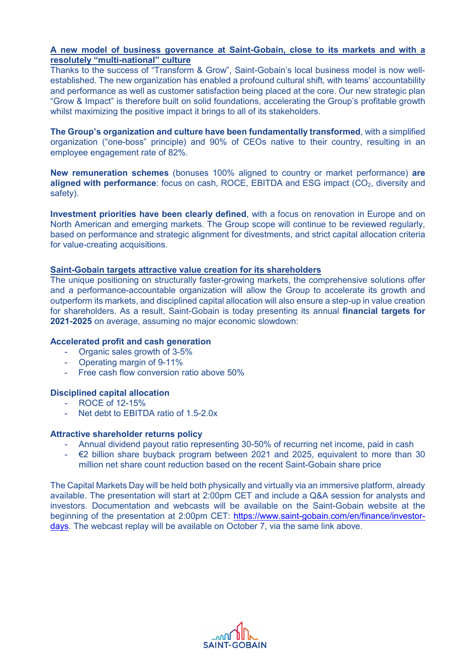# **A new model of business governance at Saint-Gobain, close to its markets and with a resolutely "multi-national" culture**

Thanks to the success of "Transform & Grow", Saint-Gobain's local business model is now wellestablished. The new organization has enabled a profound cultural shift, with teams' accountability and performance as well as customer satisfaction being placed at the core. Our new strategic plan "Grow & Impact" is therefore built on solid foundations, accelerating the Group's profitable growth whilst maximizing the positive impact it brings to all of its stakeholders.

**The Group's organization and culture have been fundamentally transformed**, with a simplified organization ("one-boss" principle) and 90% of CEOs native to their country, resulting in an employee engagement rate of 82%.

**New remuneration schemes** (bonuses 100% aligned to country or market performance) **are aligned with performance**: focus on cash, ROCE, EBITDA and ESG impact (CO<sub>2</sub>, diversity and safety).

**Investment priorities have been clearly defined**, with a focus on renovation in Europe and on North American and emerging markets. The Group scope will continue to be reviewed regularly, based on performance and strategic alignment for divestments, and strict capital allocation criteria for value-creating acquisitions.

# **Saint-Gobain targets attractive value creation for its shareholders**

The unique positioning on structurally faster-growing markets, the comprehensive solutions offer and a performance-accountable organization will allow the Group to accelerate its growth and outperform its markets, and disciplined capital allocation will also ensure a step-up in value creation for shareholders. As a result, Saint-Gobain is today presenting its annual **financial targets for 2021-2025** on average, assuming no major economic slowdown:

# **Accelerated profit and cash generation**

- Organic sales growth of 3-5%
- Operating margin of 9-11%
- Free cash flow conversion ratio above 50%

# **Disciplined capital allocation**

- ROCE of 12-15%
- Net debt to EBITDA ratio of 1.5-2.0x

# **Attractive shareholder returns policy**

- Annual dividend payout ratio representing 30-50% of recurring net income, paid in cash
- €2 billion share buyback program between 2021 and 2025, equivalent to more than 30 million net share count reduction based on the recent Saint-Gobain share price

The Capital Markets Day will be held both physically and virtually via an immersive platform, already available. The presentation will start at 2:00pm CET and include a Q&A session for analysts and investors. Documentation and webcasts will be available on the Saint-Gobain website at the beginning of the presentation at 2:00pm CET: [https://www.saint-gobain.com/en/finance/investor](https://www.saint-gobain.com/en/finance/investor-days)[days.](https://www.saint-gobain.com/en/finance/investor-days) The webcast replay will be available on October 7, via the same link above.

**SAINT-GOBAIN**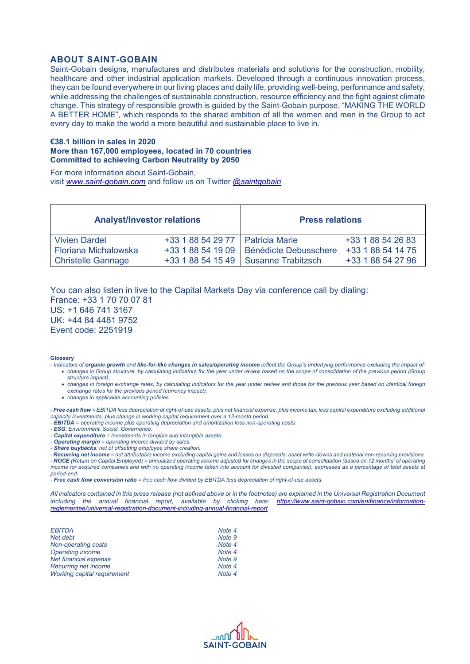### **ABOUT SAINT-GOBAIN**

Saint-Gobain designs, manufactures and distributes materials and solutions for the construction, mobility, healthcare and other industrial application markets. Developed through a continuous innovation process, they can be found everywhere in our living places and daily life, providing well-being, performance and safety, while addressing the challenges of sustainable construction, resource efficiency and the fight against climate change. This strategy of responsible growth is guided by the Saint-Gobain purpose, "MAKING THE WORLD A BETTER HOME", which responds to the shared ambition of all the women and men in the Group to act every day to make the world a more beautiful and sustainable place to live in.

### **€38.1 billion in sales in 2020 More than 167,000 employees, located in 70 countries Committed to achieving Carbon Neutrality by 2050**

For more information about Saint-Gobain, visit *[www.saint-gobain.com](http://www.saint-gobain.com/)* and follow us on Twitter *@saintgobain*

| <b>Analyst/Investor relations</b> |                   | <b>Press relations</b>    |                   |
|-----------------------------------|-------------------|---------------------------|-------------------|
| <b>Vivien Dardel</b>              | +33 1 88 54 29 77 | <b>Patricia Marie</b>     | +33 1 88 54 26 83 |
| <b>Floriana Michalowska</b>       | +33 1 88 54 19 09 | Bénédicte Debusschere     | +33 1 88 54 14 75 |
| <b>Christelle Gannage</b>         | +33 1 88 54 15 49 | <b>Susanne Trabitzsch</b> | +33 1 88 54 27 96 |

You can also listen in live to the Capital Markets Day via conference call by dialing: France: +33 1 70 70 07 81 US: +1 646 741 3167 UK: +44 84 4481 9752 Event code: 2251919

#### **Glossary**

- *- Indicators of organic growth and like-for-like changes in sales/operating income reflect the Group's underlying performance excluding the impact of:* • *changes in Group structure, by calculating indicators for the year under review based on the scope of consolidation of the previous period (Group structure impact);*
	- *changes in foreign exchange rates, by calculating indicators for the year under review and those for the previous year based on identical foreign exchange rates for the previous period (currency impact);*
	- *changes in applicable accounting policies.*

*- Free cash flow = EBITDA less depreciation of right-of-use assets, plus net financial expense, plus income tax, less capital expenditure excluding additional capacity investments, plus change in working capital requirement over a 12-month period.*

- *- EBITDA = operating income plus operating depreciation and amortization less non-operating costs.*
- *- ESG: Environment, Social, Governance.*
- *- Capital expenditure = investments in tangible and intangible assets.*
- *- Operating margin = operating income divided by sales.*
- *- Share buybacks: net of offsetting employee share creation.*

*- Recurring net income = net attributable income excluding capital gains and losses on disposals, asset write-downs and material non-recurring provisions. - ROCE (Return on Capital Employed) = annualized operating income adjusted for changes in the scope of consolidation (based on 12 months' of operating income for acquired companies and with no operating income taken into account for divested companies), expressed as a percentage of total assets at period-end.*

*- Free cash flow conversion ratio = free cash flow divided by EBITDA less depreciation of right-of-use assets.*

*All indicators contained in this press release (not defined above or in the footnotes) are explained in the Universal Registration Document*  including the annual financial report, available by clicking here: <u>https://www.saint-gobain.com/en/finance/information-</u> *[reglementee/universal-registration-document-including-annual-financial-report.](https://www.saint-gobain.com/en/finance/information-reglementee/universal-registration-document-including-annual-financial-report)*

| <b>EBITDA</b>                      | Note 4 |
|------------------------------------|--------|
| Net debt                           | Note 9 |
| <b>Non-operating costs</b>         | Note 4 |
| Operating income                   | Note 4 |
| Net financial expense              | Note 9 |
| Recurring net income               | Note 4 |
| <b>Working capital requirement</b> | Note 4 |